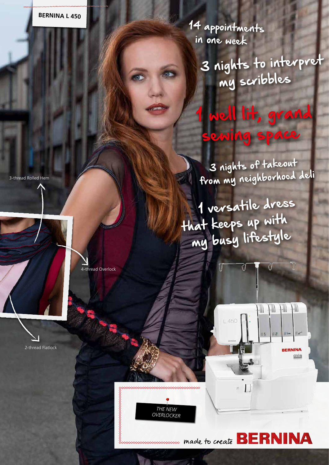14 appointments in one week

> 3 nights to interpret my scribbles

sewing space

well lit, grand

 3 nights of takeout from my neighborhood deli

 1 versatile dress that keeps up with my busy lifestyle



INA

RNI



made to create **BE** 

3-thread Rolled Hem

4-thread Overlock

2-thread Flatlock